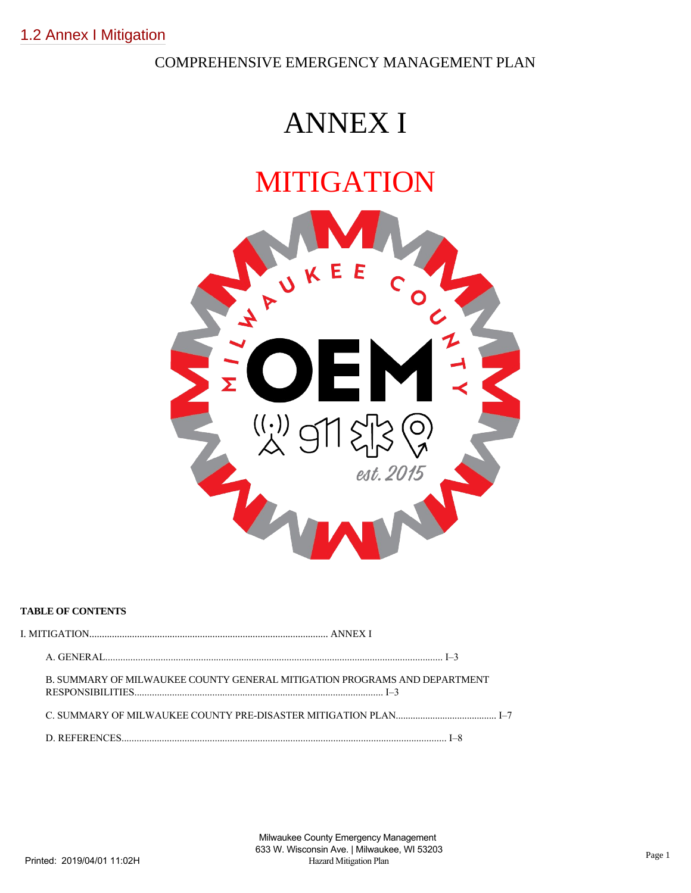## COMPREHENSIVE EMERGENCY MANAGEMENT PLAN

# ANNEX I

# MITIGATION



### **TABLE OF CONTENTS**

| B. SUMMARY OF MILWAUKEE COUNTY GENERAL MITIGATION PROGRAMS AND DEPARTMENT |  |
|---------------------------------------------------------------------------|--|
| C. SUMMARY OF MILWAUKEE COUNTY PRE-DISASTER MITIGATION PLAN               |  |
|                                                                           |  |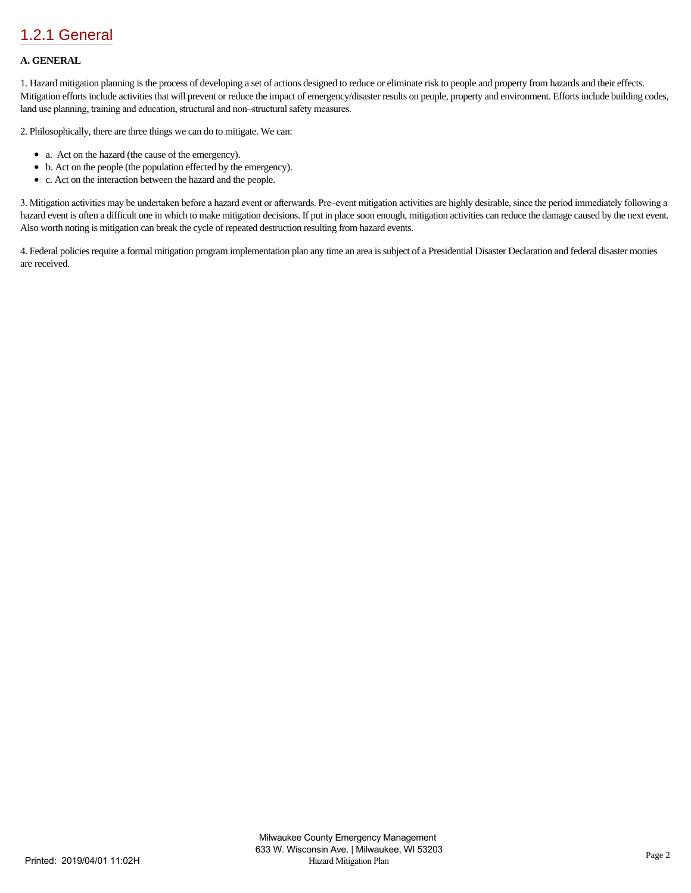## [1.2.1 General](https://milwaukeecounty.isc-cemp.com/Cemp/Details?id=5806752)

#### **A. GENERAL**

1. Hazard mitigation planning is the process of developing a set of actions designed to reduce or eliminate risk to people and property from hazards and their effects. Mitigation efforts include activities that will prevent or reduce the impact of emergency/disaster results on people, property and environment. Efforts include building codes, land use planning, training and education, structural and non–structural safety measures.

2. Philosophically, there are three things we can do to mitigate. We can:

- a. Act on the hazard (the cause of the emergency).
- b. Act on the people (the population effected by the emergency).
- c. Act on the interaction between the hazard and the people.

3. Mitigation activities may be undertaken before a hazard event or afterwards. Pre–event mitigation activities are highly desirable, since the period immediately following a hazard event is often a difficult one in which to make mitigation decisions. If put in place soon enough, mitigation activities can reduce the damage caused by the next event. Also worth noting is mitigation can break the cycle of repeated destruction resulting from hazard events.

4. Federal policies require a formal mitigation program implementation plan any time an area is subject of a Presidential Disaster Declaration and federal disaster monies are received.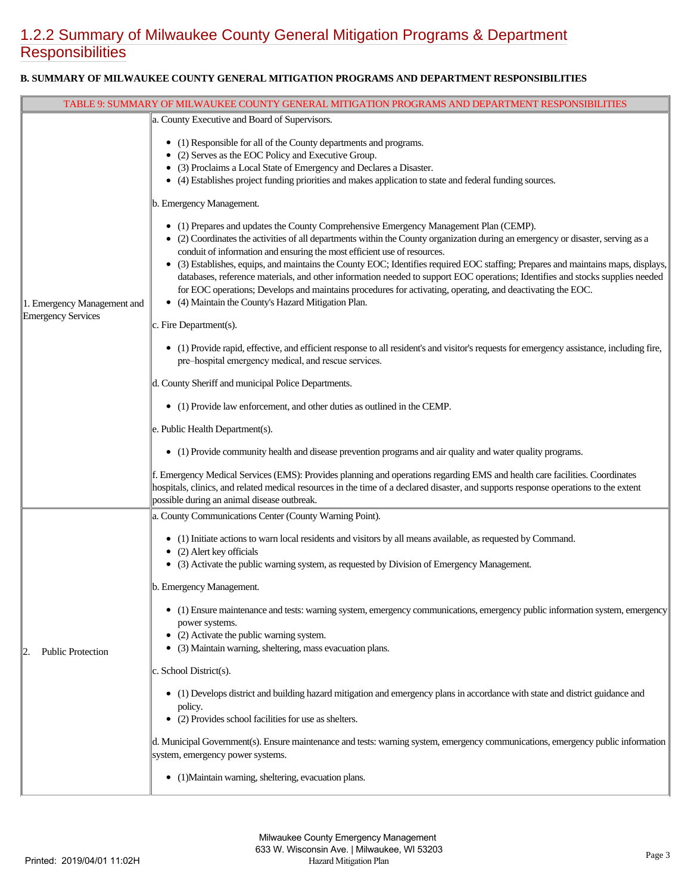# [1.2.2 Summary of Milwaukee County General Mitigation Programs & Department](https://milwaukeecounty.isc-cemp.com/Cemp/Details?id=5806754) **Responsibilities**

### **B. SUMMARY OF MILWAUKEE COUNTY GENERAL MITIGATION PROGRAMS AND DEPARTMENT RESPONSIBILITIES**

| TABLE 9: SUMMARY OF MILWAUKEE COUNTY GENERAL MITIGATION PROGRAMS AND DEPARTMENT RESPONSIBILITIES |                                                                                                                                                                                                                                                                                                                                                                                                                                                                                                                                                                                                                                                                                                                                                     |  |
|--------------------------------------------------------------------------------------------------|-----------------------------------------------------------------------------------------------------------------------------------------------------------------------------------------------------------------------------------------------------------------------------------------------------------------------------------------------------------------------------------------------------------------------------------------------------------------------------------------------------------------------------------------------------------------------------------------------------------------------------------------------------------------------------------------------------------------------------------------------------|--|
|                                                                                                  | a. County Executive and Board of Supervisors.                                                                                                                                                                                                                                                                                                                                                                                                                                                                                                                                                                                                                                                                                                       |  |
|                                                                                                  | • (1) Responsible for all of the County departments and programs.<br>• (2) Serves as the EOC Policy and Executive Group.<br>• (3) Proclaims a Local State of Emergency and Declares a Disaster.<br>• (4) Establishes project funding priorities and makes application to state and federal funding sources.                                                                                                                                                                                                                                                                                                                                                                                                                                         |  |
|                                                                                                  | b. Emergency Management.                                                                                                                                                                                                                                                                                                                                                                                                                                                                                                                                                                                                                                                                                                                            |  |
| 1. Emergency Management and                                                                      | • (1) Prepares and updates the County Comprehensive Emergency Management Plan (CEMP).<br>• (2) Coordinates the activities of all departments within the County organization during an emergency or disaster, serving as a<br>conduit of information and ensuring the most efficient use of resources.<br>• (3) Establishes, equips, and maintains the County EOC; Identifies required EOC staffing; Prepares and maintains maps, displays,<br>databases, reference materials, and other information needed to support EOC operations; Identifies and stocks supplies needed<br>for EOC operations; Develops and maintains procedures for activating, operating, and deactivating the EOC.<br>(4) Maintain the County's Hazard Mitigation Plan.<br>٠ |  |
| Emergency Services                                                                               | $\ c.$ Fire Department(s).                                                                                                                                                                                                                                                                                                                                                                                                                                                                                                                                                                                                                                                                                                                          |  |
|                                                                                                  | • (1) Provide rapid, effective, and efficient response to all resident's and visitor's requests for emergency assistance, including fire,<br>pre-hospital emergency medical, and rescue services.                                                                                                                                                                                                                                                                                                                                                                                                                                                                                                                                                   |  |
|                                                                                                  | d. County Sheriff and municipal Police Departments.                                                                                                                                                                                                                                                                                                                                                                                                                                                                                                                                                                                                                                                                                                 |  |
|                                                                                                  | • (1) Provide law enforcement, and other duties as outlined in the CEMP.                                                                                                                                                                                                                                                                                                                                                                                                                                                                                                                                                                                                                                                                            |  |
|                                                                                                  | e. Public Health Department(s).                                                                                                                                                                                                                                                                                                                                                                                                                                                                                                                                                                                                                                                                                                                     |  |
|                                                                                                  | • (1) Provide community health and disease prevention programs and air quality and water quality programs.                                                                                                                                                                                                                                                                                                                                                                                                                                                                                                                                                                                                                                          |  |
|                                                                                                  | f. Emergency Medical Services (EMS): Provides planning and operations regarding EMS and health care facilities. Coordinates<br>hospitals, clinics, and related medical resources in the time of a declared disaster, and supports response operations to the extent<br>possible during an animal disease outbreak.                                                                                                                                                                                                                                                                                                                                                                                                                                  |  |
|                                                                                                  | a. County Communications Center (County Warning Point).                                                                                                                                                                                                                                                                                                                                                                                                                                                                                                                                                                                                                                                                                             |  |
|                                                                                                  | • (1) Initiate actions to warn local residents and visitors by all means available, as requested by Command.<br>• (2) Alert key officials                                                                                                                                                                                                                                                                                                                                                                                                                                                                                                                                                                                                           |  |
|                                                                                                  | • (3) Activate the public warning system, as requested by Division of Emergency Management.                                                                                                                                                                                                                                                                                                                                                                                                                                                                                                                                                                                                                                                         |  |
|                                                                                                  | b. Emergency Management.                                                                                                                                                                                                                                                                                                                                                                                                                                                                                                                                                                                                                                                                                                                            |  |
|                                                                                                  | (1) Ensure maintenance and tests: warning system, emergency communications, emergency public information system, emergency<br>power systems.<br>(2) Activate the public warning system.                                                                                                                                                                                                                                                                                                                                                                                                                                                                                                                                                             |  |
| <b>Public Protection</b>                                                                         | (3) Maintain warning, sheltering, mass evacuation plans.                                                                                                                                                                                                                                                                                                                                                                                                                                                                                                                                                                                                                                                                                            |  |
|                                                                                                  | $ c.$ School District(s).                                                                                                                                                                                                                                                                                                                                                                                                                                                                                                                                                                                                                                                                                                                           |  |
|                                                                                                  | • (1) Develops district and building hazard mitigation and emergency plans in accordance with state and district guidance and<br>policy.<br>• (2) Provides school facilities for use as shelters.                                                                                                                                                                                                                                                                                                                                                                                                                                                                                                                                                   |  |
|                                                                                                  | d. Municipal Government(s). Ensure maintenance and tests: warning system, emergency communications, emergency public information<br>system, emergency power systems.                                                                                                                                                                                                                                                                                                                                                                                                                                                                                                                                                                                |  |
|                                                                                                  | • (1) Maintain warning, sheltering, evacuation plans.                                                                                                                                                                                                                                                                                                                                                                                                                                                                                                                                                                                                                                                                                               |  |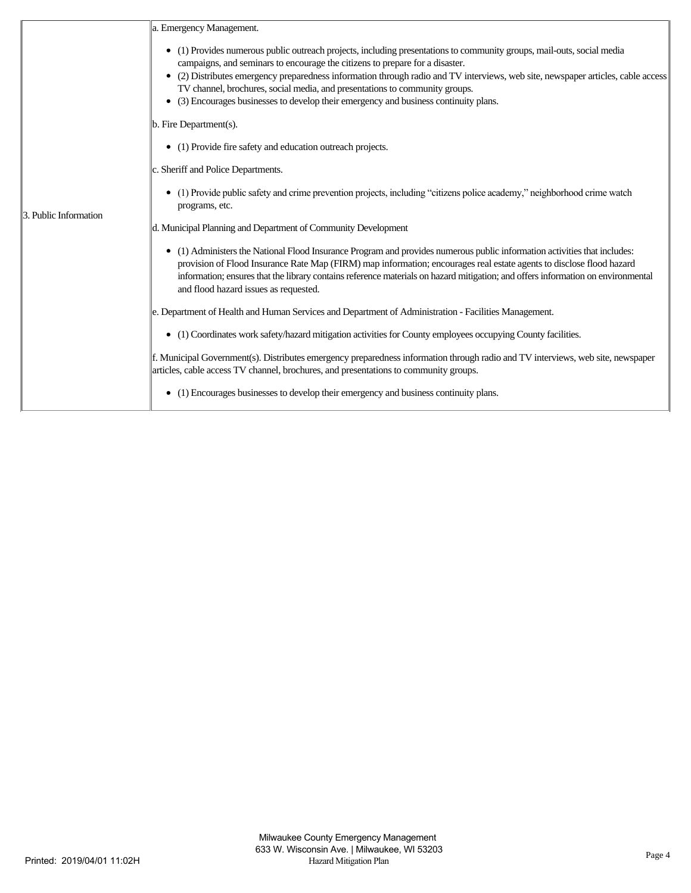|                       | a. Emergency Management.                                                                                                                                                                                                                                                                                                                                                                                                                                                                                                    |
|-----------------------|-----------------------------------------------------------------------------------------------------------------------------------------------------------------------------------------------------------------------------------------------------------------------------------------------------------------------------------------------------------------------------------------------------------------------------------------------------------------------------------------------------------------------------|
|                       | • (1) Provides numerous public outreach projects, including presentations to community groups, mail-outs, social media<br>campaigns, and seminars to encourage the citizens to prepare for a disaster.<br>(2) Distributes emergency preparedness information through radio and TV interviews, web site, newspaper articles, cable access<br>$\bullet$<br>TV channel, brochures, social media, and presentations to community groups.<br>(3) Encourages businesses to develop their emergency and business continuity plans. |
|                       | b. Fire Department(s).                                                                                                                                                                                                                                                                                                                                                                                                                                                                                                      |
|                       | • (1) Provide fire safety and education outreach projects.                                                                                                                                                                                                                                                                                                                                                                                                                                                                  |
|                       | c. Sheriff and Police Departments.                                                                                                                                                                                                                                                                                                                                                                                                                                                                                          |
| 3. Public Information | (1) Provide public safety and crime prevention projects, including "citizens police academy," neighborhood crime watch<br>programs, etc.                                                                                                                                                                                                                                                                                                                                                                                    |
|                       | d. Municipal Planning and Department of Community Development                                                                                                                                                                                                                                                                                                                                                                                                                                                               |
|                       | (1) Administers the National Flood Insurance Program and provides numerous public information activities that includes:<br>provision of Flood Insurance Rate Map (FIRM) map information; encourages real estate agents to disclose flood hazard<br>information; ensures that the library contains reference materials on hazard mitigation; and offers information on environmental<br>and flood hazard issues as requested.                                                                                                |
|                       | e. Department of Health and Human Services and Department of Administration - Facilities Management.                                                                                                                                                                                                                                                                                                                                                                                                                        |
|                       | (1) Coordinates work safety/hazard mitigation activities for County employees occupying County facilities.<br>$\bullet$                                                                                                                                                                                                                                                                                                                                                                                                     |
|                       | f. Municipal Government(s). Distributes emergency preparedness information through radio and TV interviews, web site, newspaper<br>articles, cable access TV channel, brochures, and presentations to community groups.                                                                                                                                                                                                                                                                                                     |
|                       | (1) Encourages businesses to develop their emergency and business continuity plans.<br>٠                                                                                                                                                                                                                                                                                                                                                                                                                                    |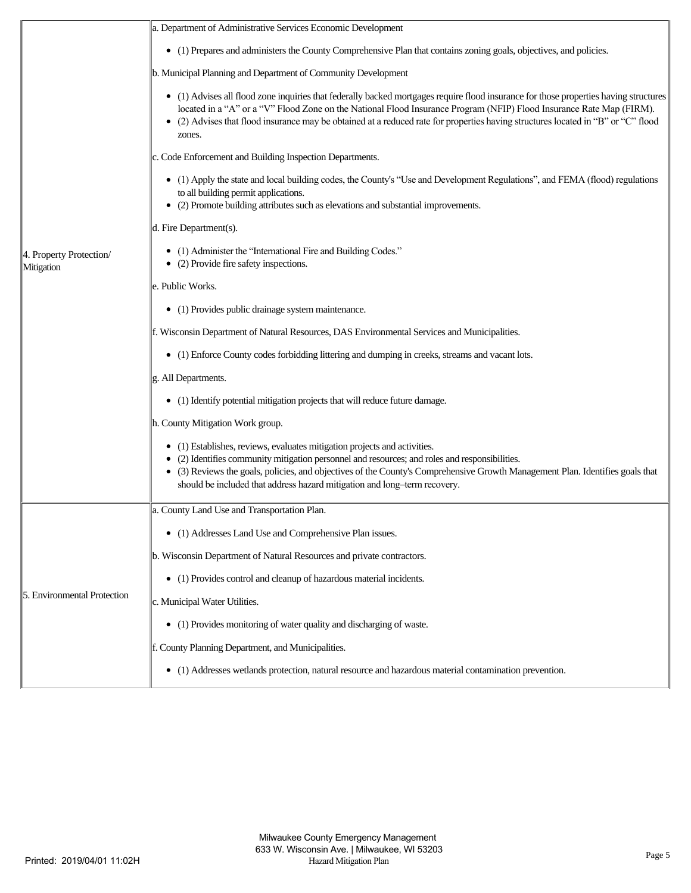|                                       | a. Department of Administrative Services Economic Development                                                                                                                                                                                                                                                                                                                                              |
|---------------------------------------|------------------------------------------------------------------------------------------------------------------------------------------------------------------------------------------------------------------------------------------------------------------------------------------------------------------------------------------------------------------------------------------------------------|
|                                       | • (1) Prepares and administers the County Comprehensive Plan that contains zoning goals, objectives, and policies.                                                                                                                                                                                                                                                                                         |
|                                       | b. Municipal Planning and Department of Community Development                                                                                                                                                                                                                                                                                                                                              |
|                                       | • (1) Advises all flood zone inquiries that federally backed mortgages require flood insurance for those properties having structures<br>located in a "A" or a "V" Flood Zone on the National Flood Insurance Program (NFIP) Flood Insurance Rate Map (FIRM).<br>(2) Advises that flood insurance may be obtained at a reduced rate for properties having structures located in "B" or "C" flood<br>zones. |
|                                       | c. Code Enforcement and Building Inspection Departments.                                                                                                                                                                                                                                                                                                                                                   |
|                                       | • (1) Apply the state and local building codes, the County's "Use and Development Regulations", and FEMA (flood) regulations<br>to all building permit applications.<br>• (2) Promote building attributes such as elevations and substantial improvements.                                                                                                                                                 |
|                                       | d. Fire Department(s).                                                                                                                                                                                                                                                                                                                                                                                     |
| 4. Property Protection/<br>Mitigation | • (1) Administer the "International Fire and Building Codes."<br>• (2) Provide fire safety inspections.                                                                                                                                                                                                                                                                                                    |
|                                       | e. Public Works.                                                                                                                                                                                                                                                                                                                                                                                           |
|                                       | • (1) Provides public drainage system maintenance.                                                                                                                                                                                                                                                                                                                                                         |
|                                       | f. Wisconsin Department of Natural Resources, DAS Environmental Services and Municipalities.                                                                                                                                                                                                                                                                                                               |
|                                       | • (1) Enforce County codes forbidding littering and dumping in creeks, streams and vacant lots.                                                                                                                                                                                                                                                                                                            |
|                                       | g. All Departments.                                                                                                                                                                                                                                                                                                                                                                                        |
|                                       | • (1) Identify potential mitigation projects that will reduce future damage.                                                                                                                                                                                                                                                                                                                               |
|                                       | h. County Mitigation Work group.                                                                                                                                                                                                                                                                                                                                                                           |
|                                       | • (1) Establishes, reviews, evaluates mitigation projects and activities.<br>• (2) Identifies community mitigation personnel and resources; and roles and responsibilities.<br>• (3) Reviews the goals, policies, and objectives of the County's Comprehensive Growth Management Plan. Identifies goals that<br>should be included that address hazard mitigation and long-term recovery.                  |
|                                       | a. County Land Use and Transportation Plan.                                                                                                                                                                                                                                                                                                                                                                |
|                                       | (1) Addresses Land Use and Comprehensive Plan issues.<br>٠                                                                                                                                                                                                                                                                                                                                                 |
|                                       | b. Wisconsin Department of Natural Resources and private contractors.                                                                                                                                                                                                                                                                                                                                      |
|                                       | (1) Provides control and cleanup of hazardous material incidents.<br>٠                                                                                                                                                                                                                                                                                                                                     |
| 5. Environmental Protection           | c. Municipal Water Utilities.                                                                                                                                                                                                                                                                                                                                                                              |
|                                       | • (1) Provides monitoring of water quality and discharging of waste.                                                                                                                                                                                                                                                                                                                                       |
|                                       | f. County Planning Department, and Municipalities.                                                                                                                                                                                                                                                                                                                                                         |
|                                       | (1) Addresses wetlands protection, natural resource and hazardous material contamination prevention.<br>٠                                                                                                                                                                                                                                                                                                  |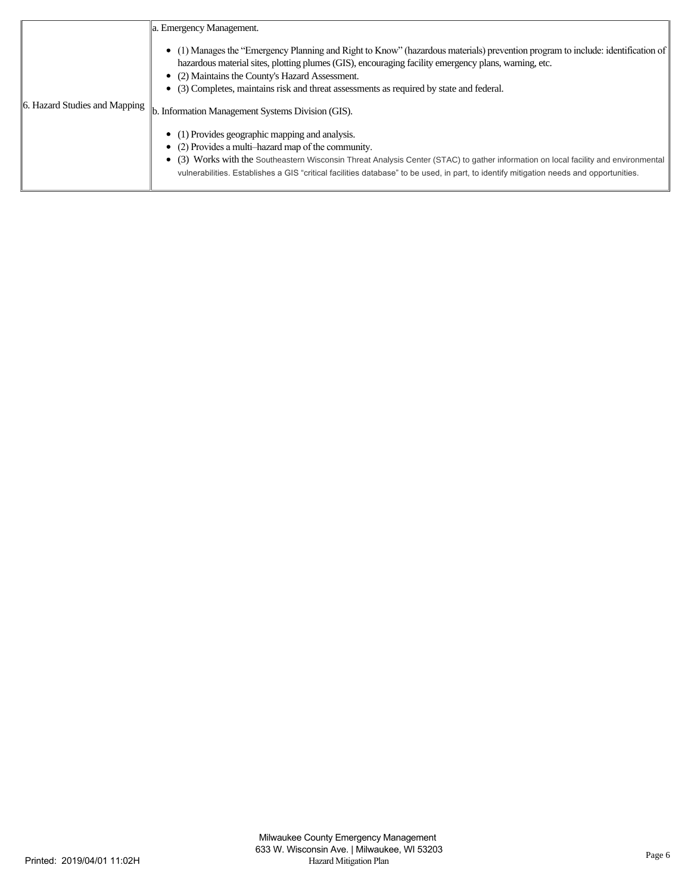|                                                                                    | a. Emergency Management.                                                                                                                                                                                                                                                                                                                                                                      |
|------------------------------------------------------------------------------------|-----------------------------------------------------------------------------------------------------------------------------------------------------------------------------------------------------------------------------------------------------------------------------------------------------------------------------------------------------------------------------------------------|
|                                                                                    | • (1) Manages the "Emergency Planning and Right to Know" (hazardous materials) prevention program to include: identification of<br>hazardous material sites, plotting plumes (GIS), encouraging facility emergency plans, warning, etc.<br>• (2) Maintains the County's Hazard Assessment.<br>• (3) Completes, maintains risk and threat assessments as required by state and federal.        |
| 6. Hazard Studies and Mapping<br>b. Information Management Systems Division (GIS). |                                                                                                                                                                                                                                                                                                                                                                                               |
|                                                                                    | • (1) Provides geographic mapping and analysis.<br>$\bullet$ (2) Provides a multi-hazard map of the community.<br>(3) Works with the Southeastern Wisconsin Threat Analysis Center (STAC) to gather information on local facility and environmental<br>vulnerabilities. Establishes a GIS "critical facilities database" to be used, in part, to identify mitigation needs and opportunities. |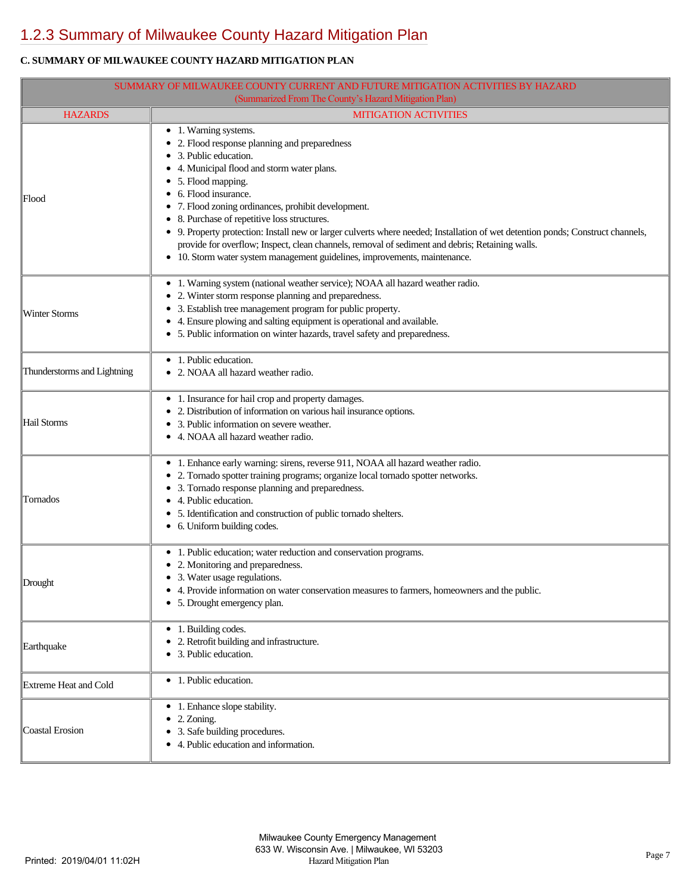# [1.2.3 Summary of Milwaukee County Hazard Mitigation Plan](https://milwaukeecounty.isc-cemp.com/Cemp/Details?id=5806756)

## **C. SUMMARY OF MILWAUKEE COUNTY HAZARD MITIGATION PLAN**

| SUMMARY OF MILWAUKEE COUNTY CURRENT AND FUTURE MITIGATION ACTIVITIES BY HAZARD |                                                                                                                                                                                                                                                                                                                                                                                                                                                                                                                                                                                                                        |  |  |  |
|--------------------------------------------------------------------------------|------------------------------------------------------------------------------------------------------------------------------------------------------------------------------------------------------------------------------------------------------------------------------------------------------------------------------------------------------------------------------------------------------------------------------------------------------------------------------------------------------------------------------------------------------------------------------------------------------------------------|--|--|--|
| (Summarized From The County's Hazard Mitigation Plan)                          |                                                                                                                                                                                                                                                                                                                                                                                                                                                                                                                                                                                                                        |  |  |  |
| <b>HAZARDS</b>                                                                 | <b>MITIGATION ACTIVITIES</b>                                                                                                                                                                                                                                                                                                                                                                                                                                                                                                                                                                                           |  |  |  |
| Flood                                                                          | • 1. Warning systems.<br>• 2. Flood response planning and preparedness<br>3. Public education.<br>4. Municipal flood and storm water plans.<br>• 5. Flood mapping.<br>• 6. Flood insurance.<br>• 7. Flood zoning ordinances, prohibit development.<br>• 8. Purchase of repetitive loss structures.<br>• 9. Property protection: Install new or larger culverts where needed; Installation of wet detention ponds; Construct channels,<br>provide for overflow; Inspect, clean channels, removal of sediment and debris; Retaining walls.<br>• 10. Storm water system management guidelines, improvements, maintenance. |  |  |  |
| <b>Winter Storms</b>                                                           | • 1. Warning system (national weather service); NOAA all hazard weather radio.<br>• 2. Winter storm response planning and preparedness.<br>• 3. Establish tree management program for public property.<br>• 4. Ensure plowing and salting equipment is operational and available.<br>• 5. Public information on winter hazards, travel safety and preparedness.                                                                                                                                                                                                                                                        |  |  |  |
| Thunderstorms and Lightning                                                    | • 1. Public education.<br>• 2. NOAA all hazard weather radio.                                                                                                                                                                                                                                                                                                                                                                                                                                                                                                                                                          |  |  |  |
| Hail Storms                                                                    | • 1. Insurance for hail crop and property damages.<br>• 2. Distribution of information on various hail insurance options.<br>• 3. Public information on severe weather.<br>• 4. NOAA all hazard weather radio.                                                                                                                                                                                                                                                                                                                                                                                                         |  |  |  |
| Tornados                                                                       | • 1. Enhance early warning: sirens, reverse 911, NOAA all hazard weather radio.<br>• 2. Tornado spotter training programs; organize local tornado spotter networks.<br>• 3. Tornado response planning and preparedness.<br>• 4. Public education.<br>• 5. Identification and construction of public tornado shelters.<br>• 6. Uniform building codes.                                                                                                                                                                                                                                                                  |  |  |  |
| Drought                                                                        | • 1. Public education; water reduction and conservation programs.<br>• 2. Monitoring and preparedness.<br>• 3. Water usage regulations.<br>4. Provide information on water conservation measures to farmers, homeowners and the public.<br>• 5. Drought emergency plan.                                                                                                                                                                                                                                                                                                                                                |  |  |  |
| Earthquake                                                                     | • 1. Building codes.<br>• 2. Retrofit building and infrastructure.<br>• 3. Public education.                                                                                                                                                                                                                                                                                                                                                                                                                                                                                                                           |  |  |  |
| Extreme Heat and Cold                                                          | • 1. Public education.                                                                                                                                                                                                                                                                                                                                                                                                                                                                                                                                                                                                 |  |  |  |
| Coastal Erosion                                                                | • 1. Enhance slope stability.<br>2. Zoning.<br>3. Safe building procedures.<br>٠<br>4. Public education and information.                                                                                                                                                                                                                                                                                                                                                                                                                                                                                               |  |  |  |